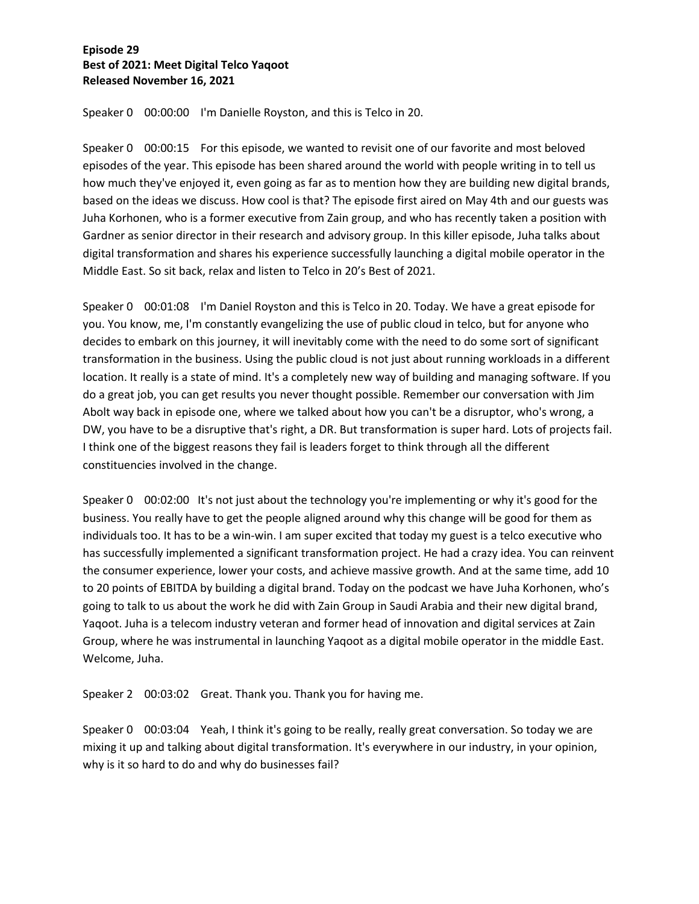Speaker 0 00:00:00 I'm Danielle Royston, and this is Telco in 20.

Speaker 0 00:00:15 For this episode, we wanted to revisit one of our favorite and most beloved episodes of the year. This episode has been shared around the world with people writing in to tell us how much they've enjoyed it, even going as far as to mention how they are building new digital brands, based on the ideas we discuss. How cool is that? The episode first aired on May 4th and our guests was Juha Korhonen, who is a former executive from Zain group, and who has recently taken a position with Gardner as senior director in their research and advisory group. In this killer episode, Juha talks about digital transformation and shares his experience successfully launching a digital mobile operator in the Middle East. So sit back, relax and listen to Telco in 20's Best of 2021.

Speaker 0 00:01:08 I'm Daniel Royston and this is Telco in 20. Today. We have a great episode for you. You know, me, I'm constantly evangelizing the use of public cloud in telco, but for anyone who decides to embark on this journey, it will inevitably come with the need to do some sort of significant transformation in the business. Using the public cloud is not just about running workloads in a different location. It really is a state of mind. It's a completely new way of building and managing software. If you do a great job, you can get results you never thought possible. Remember our conversation with Jim Abolt way back in episode one, where we talked about how you can't be a disruptor, who's wrong, a DW, you have to be a disruptive that's right, a DR. But transformation is super hard. Lots of projects fail. I think one of the biggest reasons they fail is leaders forget to think through all the different constituencies involved in the change.

Speaker 0 00:02:00 It's not just about the technology you're implementing or why it's good for the business. You really have to get the people aligned around why this change will be good for them as individuals too. It has to be a win-win. I am super excited that today my guest is a telco executive who has successfully implemented a significant transformation project. He had a crazy idea. You can reinvent the consumer experience, lower your costs, and achieve massive growth. And at the same time, add 10 to 20 points of EBITDA by building a digital brand. Today on the podcast we have Juha Korhonen, who's going to talk to us about the work he did with Zain Group in Saudi Arabia and their new digital brand, Yaqoot. Juha is a telecom industry veteran and former head of innovation and digital services at Zain Group, where he was instrumental in launching Yaqoot as a digital mobile operator in the middle East. Welcome, Juha.

Speaker 2 00:03:02 Great. Thank you. Thank you for having me.

Speaker 0 00:03:04 Yeah, I think it's going to be really, really great conversation. So today we are mixing it up and talking about digital transformation. It's everywhere in our industry, in your opinion, why is it so hard to do and why do businesses fail?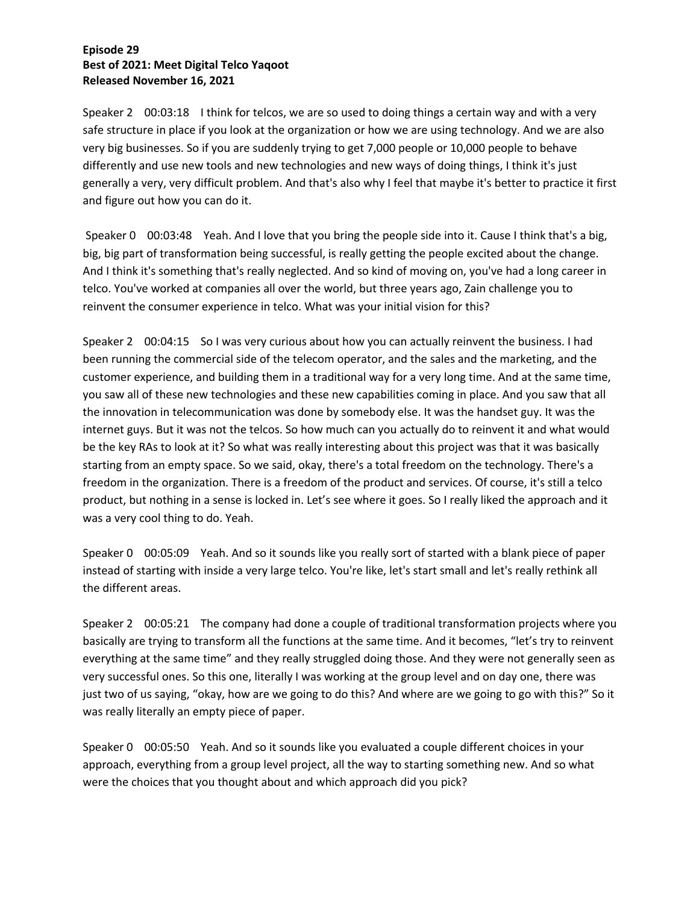Speaker 2 00:03:18 I think for telcos, we are so used to doing things a certain way and with a very safe structure in place if you look at the organization or how we are using technology. And we are also very big businesses. So if you are suddenly trying to get 7,000 people or 10,000 people to behave differently and use new tools and new technologies and new ways of doing things, I think it's just generally a very, very difficult problem. And that's also why I feel that maybe it's better to practice it first and figure out how you can do it.

Speaker 0 00:03:48 Yeah. And I love that you bring the people side into it. Cause I think that's a big, big, big part of transformation being successful, is really getting the people excited about the change. And I think it's something that's really neglected. And so kind of moving on, you've had a long career in telco. You've worked at companies all over the world, but three years ago, Zain challenge you to reinvent the consumer experience in telco. What was your initial vision for this?

Speaker 2 00:04:15 So I was very curious about how you can actually reinvent the business. I had been running the commercial side of the telecom operator, and the sales and the marketing, and the customer experience, and building them in a traditional way for a very long time. And at the same time, you saw all of these new technologies and these new capabilities coming in place. And you saw that all the innovation in telecommunication was done by somebody else. It was the handset guy. It was the internet guys. But it was not the telcos. So how much can you actually do to reinvent it and what would be the key RAs to look at it? So what was really interesting about this project was that it was basically starting from an empty space. So we said, okay, there's a total freedom on the technology. There's a freedom in the organization. There is a freedom of the product and services. Of course, it's still a telco product, but nothing in a sense is locked in. Let's see where it goes. So I really liked the approach and it was a very cool thing to do. Yeah.

Speaker 0 00:05:09 Yeah. And so it sounds like you really sort of started with a blank piece of paper instead of starting with inside a very large telco. You're like, let's start small and let's really rethink all the different areas.

Speaker 2 00:05:21 The company had done a couple of traditional transformation projects where you basically are trying to transform all the functions at the same time. And it becomes, "let's try to reinvent everything at the same time" and they really struggled doing those. And they were not generally seen as very successful ones. So this one, literally I was working at the group level and on day one, there was just two of us saying, "okay, how are we going to do this? And where are we going to go with this?" So it was really literally an empty piece of paper.

Speaker 0 00:05:50 Yeah. And so it sounds like you evaluated a couple different choices in your approach, everything from a group level project, all the way to starting something new. And so what were the choices that you thought about and which approach did you pick?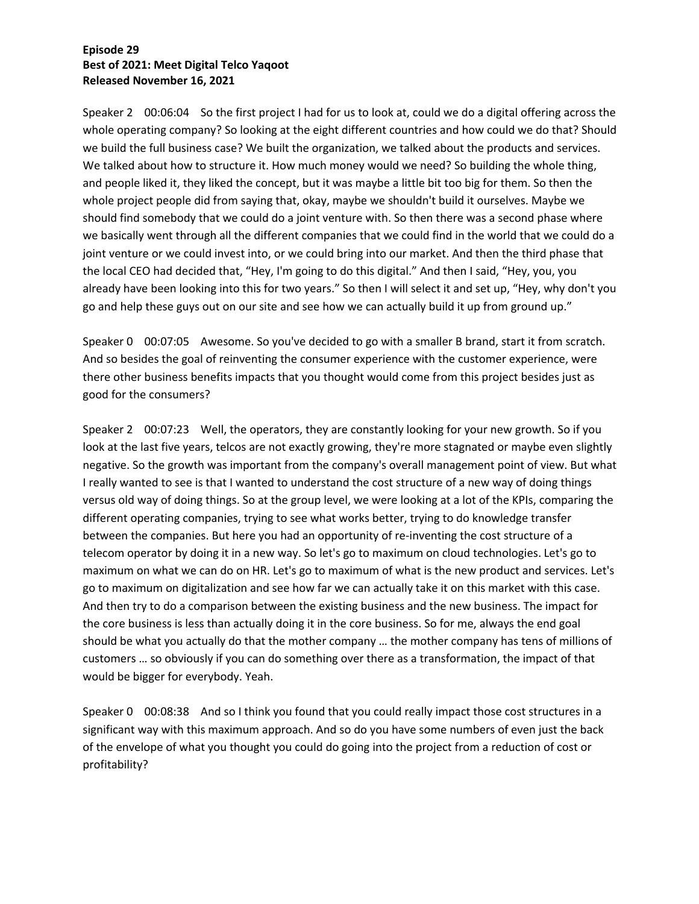Speaker 2 00:06:04 So the first project I had for us to look at, could we do a digital offering across the whole operating company? So looking at the eight different countries and how could we do that? Should we build the full business case? We built the organization, we talked about the products and services. We talked about how to structure it. How much money would we need? So building the whole thing, and people liked it, they liked the concept, but it was maybe a little bit too big for them. So then the whole project people did from saying that, okay, maybe we shouldn't build it ourselves. Maybe we should find somebody that we could do a joint venture with. So then there was a second phase where we basically went through all the different companies that we could find in the world that we could do a joint venture or we could invest into, or we could bring into our market. And then the third phase that the local CEO had decided that, "Hey, I'm going to do this digital." And then I said, "Hey, you, you already have been looking into this for two years." So then I will select it and set up, "Hey, why don't you go and help these guys out on our site and see how we can actually build it up from ground up."

Speaker 0 00:07:05 Awesome. So you've decided to go with a smaller B brand, start it from scratch. And so besides the goal of reinventing the consumer experience with the customer experience, were there other business benefits impacts that you thought would come from this project besides just as good for the consumers?

Speaker 2 00:07:23 Well, the operators, they are constantly looking for your new growth. So if you look at the last five years, telcos are not exactly growing, they're more stagnated or maybe even slightly negative. So the growth was important from the company's overall management point of view. But what I really wanted to see is that I wanted to understand the cost structure of a new way of doing things versus old way of doing things. So at the group level, we were looking at a lot of the KPIs, comparing the different operating companies, trying to see what works better, trying to do knowledge transfer between the companies. But here you had an opportunity of re-inventing the cost structure of a telecom operator by doing it in a new way. So let's go to maximum on cloud technologies. Let's go to maximum on what we can do on HR. Let's go to maximum of what is the new product and services. Let's go to maximum on digitalization and see how far we can actually take it on this market with this case. And then try to do a comparison between the existing business and the new business. The impact for the core business is less than actually doing it in the core business. So for me, always the end goal should be what you actually do that the mother company … the mother company has tens of millions of customers … so obviously if you can do something over there as a transformation, the impact of that would be bigger for everybody. Yeah.

Speaker 0 00:08:38 And so I think you found that you could really impact those cost structures in a significant way with this maximum approach. And so do you have some numbers of even just the back of the envelope of what you thought you could do going into the project from a reduction of cost or profitability?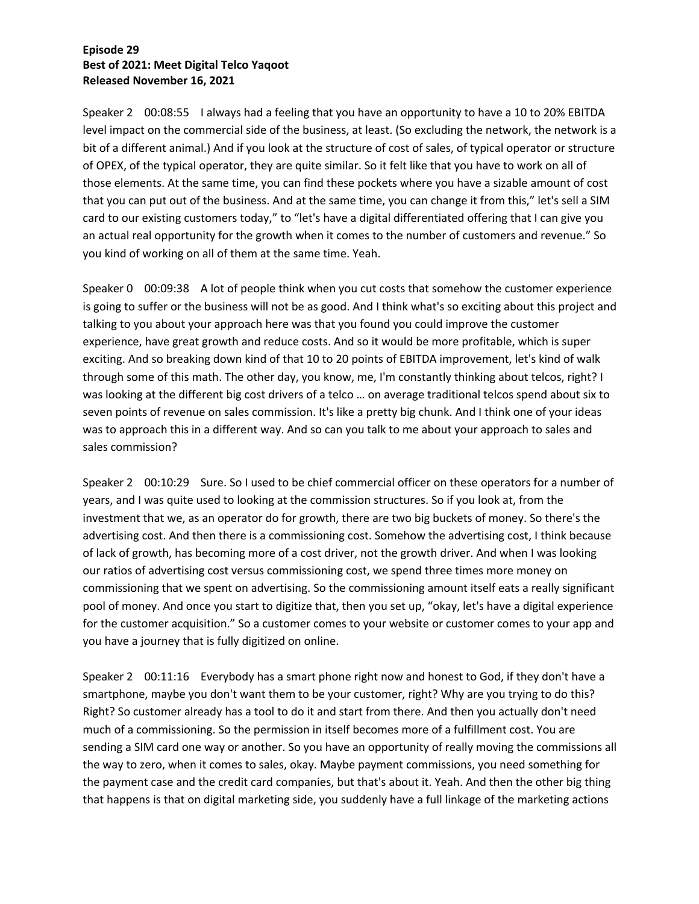Speaker 2 00:08:55 I always had a feeling that you have an opportunity to have a 10 to 20% EBITDA level impact on the commercial side of the business, at least. (So excluding the network, the network is a bit of a different animal.) And if you look at the structure of cost of sales, of typical operator or structure of OPEX, of the typical operator, they are quite similar. So it felt like that you have to work on all of those elements. At the same time, you can find these pockets where you have a sizable amount of cost that you can put out of the business. And at the same time, you can change it from this," let's sell a SIM card to our existing customers today," to "let's have a digital differentiated offering that I can give you an actual real opportunity for the growth when it comes to the number of customers and revenue." So you kind of working on all of them at the same time. Yeah.

Speaker 0 00:09:38 A lot of people think when you cut costs that somehow the customer experience is going to suffer or the business will not be as good. And I think what's so exciting about this project and talking to you about your approach here was that you found you could improve the customer experience, have great growth and reduce costs. And so it would be more profitable, which is super exciting. And so breaking down kind of that 10 to 20 points of EBITDA improvement, let's kind of walk through some of this math. The other day, you know, me, I'm constantly thinking about telcos, right? I was looking at the different big cost drivers of a telco … on average traditional telcos spend about six to seven points of revenue on sales commission. It's like a pretty big chunk. And I think one of your ideas was to approach this in a different way. And so can you talk to me about your approach to sales and sales commission?

Speaker 2 00:10:29 Sure. So I used to be chief commercial officer on these operators for a number of years, and I was quite used to looking at the commission structures. So if you look at, from the investment that we, as an operator do for growth, there are two big buckets of money. So there's the advertising cost. And then there is a commissioning cost. Somehow the advertising cost, I think because of lack of growth, has becoming more of a cost driver, not the growth driver. And when I was looking our ratios of advertising cost versus commissioning cost, we spend three times more money on commissioning that we spent on advertising. So the commissioning amount itself eats a really significant pool of money. And once you start to digitize that, then you set up, "okay, let's have a digital experience for the customer acquisition." So a customer comes to your website or customer comes to your app and you have a journey that is fully digitized on online.

Speaker 2 00:11:16 Everybody has a smart phone right now and honest to God, if they don't have a smartphone, maybe you don't want them to be your customer, right? Why are you trying to do this? Right? So customer already has a tool to do it and start from there. And then you actually don't need much of a commissioning. So the permission in itself becomes more of a fulfillment cost. You are sending a SIM card one way or another. So you have an opportunity of really moving the commissions all the way to zero, when it comes to sales, okay. Maybe payment commissions, you need something for the payment case and the credit card companies, but that's about it. Yeah. And then the other big thing that happens is that on digital marketing side, you suddenly have a full linkage of the marketing actions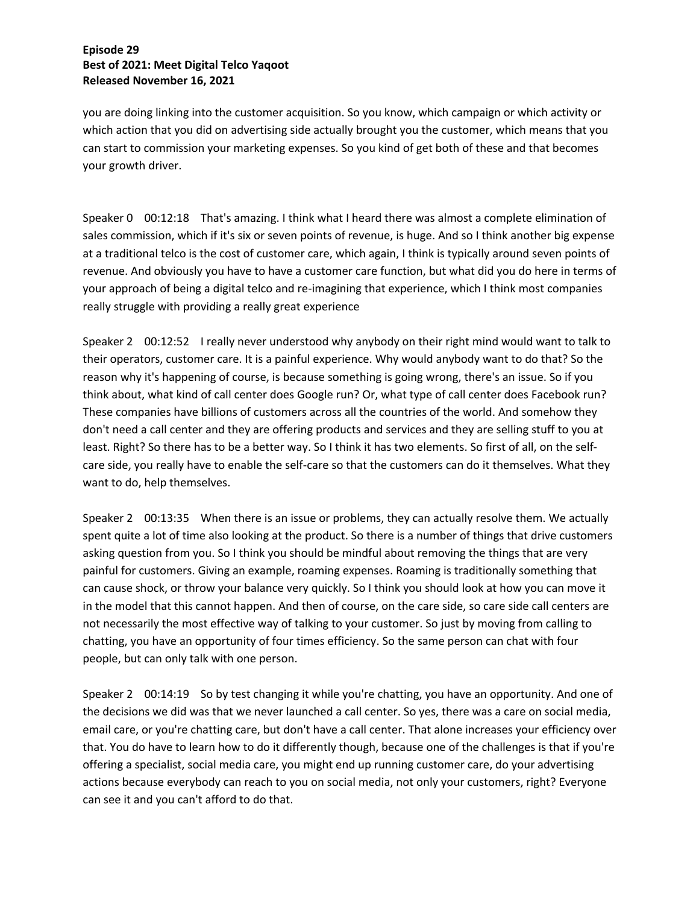you are doing linking into the customer acquisition. So you know, which campaign or which activity or which action that you did on advertising side actually brought you the customer, which means that you can start to commission your marketing expenses. So you kind of get both of these and that becomes your growth driver.

Speaker 0 00:12:18 That's amazing. I think what I heard there was almost a complete elimination of sales commission, which if it's six or seven points of revenue, is huge. And so I think another big expense at a traditional telco is the cost of customer care, which again, I think is typically around seven points of revenue. And obviously you have to have a customer care function, but what did you do here in terms of your approach of being a digital telco and re-imagining that experience, which I think most companies really struggle with providing a really great experience

Speaker 2 00:12:52 I really never understood why anybody on their right mind would want to talk to their operators, customer care. It is a painful experience. Why would anybody want to do that? So the reason why it's happening of course, is because something is going wrong, there's an issue. So if you think about, what kind of call center does Google run? Or, what type of call center does Facebook run? These companies have billions of customers across all the countries of the world. And somehow they don't need a call center and they are offering products and services and they are selling stuff to you at least. Right? So there has to be a better way. So I think it has two elements. So first of all, on the selfcare side, you really have to enable the self-care so that the customers can do it themselves. What they want to do, help themselves.

Speaker 2 00:13:35 When there is an issue or problems, they can actually resolve them. We actually spent quite a lot of time also looking at the product. So there is a number of things that drive customers asking question from you. So I think you should be mindful about removing the things that are very painful for customers. Giving an example, roaming expenses. Roaming is traditionally something that can cause shock, or throw your balance very quickly. So I think you should look at how you can move it in the model that this cannot happen. And then of course, on the care side, so care side call centers are not necessarily the most effective way of talking to your customer. So just by moving from calling to chatting, you have an opportunity of four times efficiency. So the same person can chat with four people, but can only talk with one person.

Speaker 2 00:14:19 So by test changing it while you're chatting, you have an opportunity. And one of the decisions we did was that we never launched a call center. So yes, there was a care on social media, email care, or you're chatting care, but don't have a call center. That alone increases your efficiency over that. You do have to learn how to do it differently though, because one of the challenges is that if you're offering a specialist, social media care, you might end up running customer care, do your advertising actions because everybody can reach to you on social media, not only your customers, right? Everyone can see it and you can't afford to do that.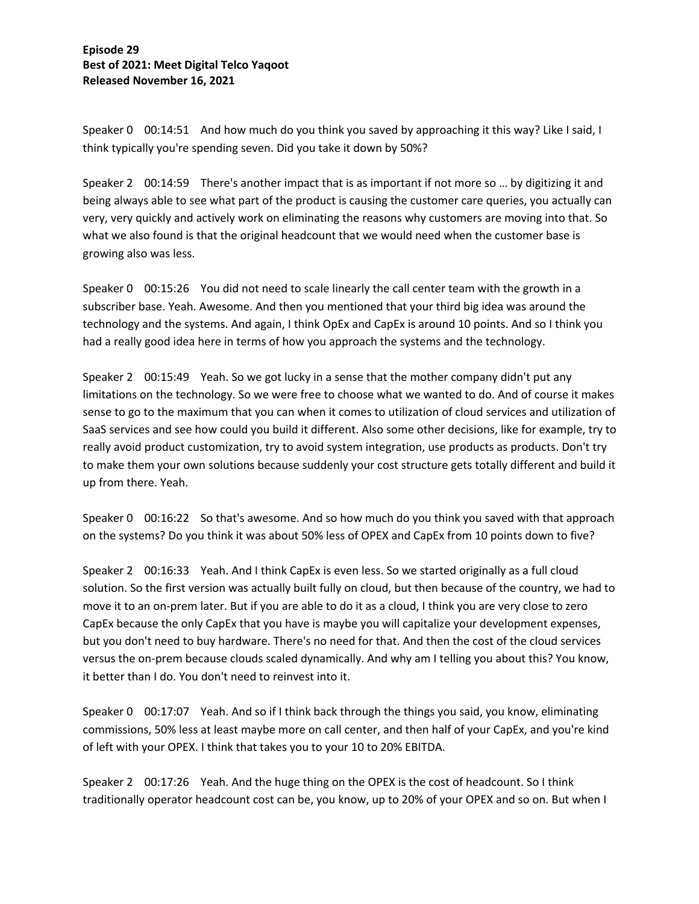Speaker 0 00:14:51 And how much do you think you saved by approaching it this way? Like I said, I think typically you're spending seven. Did you take it down by 50%?

Speaker 2 00:14:59 There's another impact that is as important if not more so … by digitizing it and being always able to see what part of the product is causing the customer care queries, you actually can very, very quickly and actively work on eliminating the reasons why customers are moving into that. So what we also found is that the original headcount that we would need when the customer base is growing also was less.

Speaker 0 00:15:26 You did not need to scale linearly the call center team with the growth in a subscriber base. Yeah. Awesome. And then you mentioned that your third big idea was around the technology and the systems. And again, I think OpEx and CapEx is around 10 points. And so I think you had a really good idea here in terms of how you approach the systems and the technology.

Speaker 2 00:15:49 Yeah. So we got lucky in a sense that the mother company didn't put any limitations on the technology. So we were free to choose what we wanted to do. And of course it makes sense to go to the maximum that you can when it comes to utilization of cloud services and utilization of SaaS services and see how could you build it different. Also some other decisions, like for example, try to really avoid product customization, try to avoid system integration, use products as products. Don't try to make them your own solutions because suddenly your cost structure gets totally different and build it up from there. Yeah.

Speaker 0 00:16:22 So that's awesome. And so how much do you think you saved with that approach on the systems? Do you think it was about 50% less of OPEX and CapEx from 10 points down to five?

Speaker 2 00:16:33 Yeah. And I think CapEx is even less. So we started originally as a full cloud solution. So the first version was actually built fully on cloud, but then because of the country, we had to move it to an on-prem later. But if you are able to do it as a cloud, I think you are very close to zero CapEx because the only CapEx that you have is maybe you will capitalize your development expenses, but you don't need to buy hardware. There's no need for that. And then the cost of the cloud services versus the on-prem because clouds scaled dynamically. And why am I telling you about this? You know, it better than I do. You don't need to reinvest into it.

Speaker 0 00:17:07 Yeah. And so if I think back through the things you said, you know, eliminating commissions, 50% less at least maybe more on call center, and then half of your CapEx, and you're kind of left with your OPEX. I think that takes you to your 10 to 20% EBITDA.

Speaker 2 00:17:26 Yeah. And the huge thing on the OPEX is the cost of headcount. So I think traditionally operator headcount cost can be, you know, up to 20% of your OPEX and so on. But when I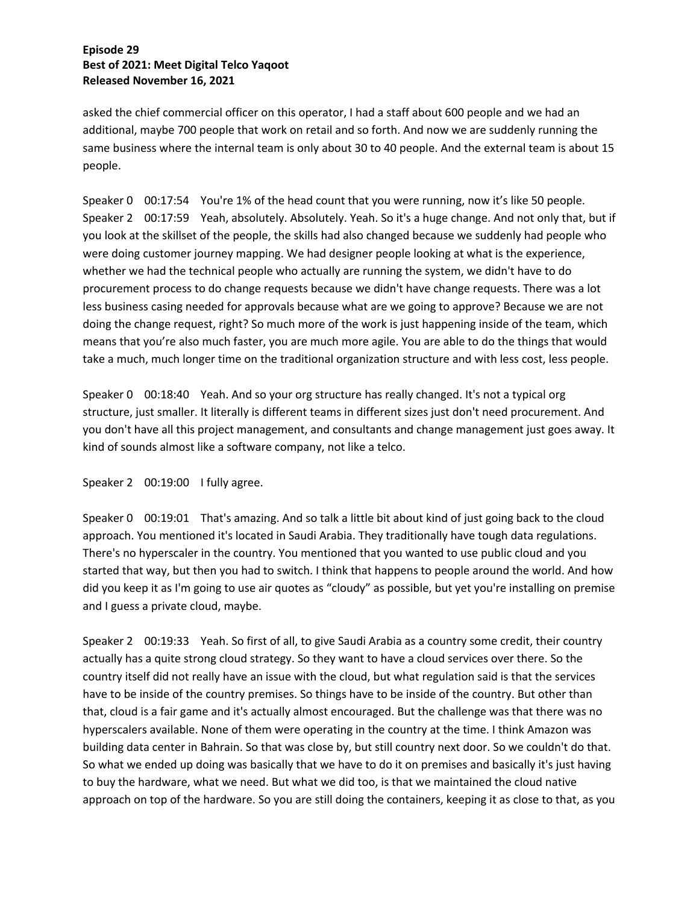asked the chief commercial officer on this operator, I had a staff about 600 people and we had an additional, maybe 700 people that work on retail and so forth. And now we are suddenly running the same business where the internal team is only about 30 to 40 people. And the external team is about 15 people.

Speaker 0 00:17:54 You're 1% of the head count that you were running, now it's like 50 people. Speaker 2 00:17:59 Yeah, absolutely. Absolutely. Yeah. So it's a huge change. And not only that, but if you look at the skillset of the people, the skills had also changed because we suddenly had people who were doing customer journey mapping. We had designer people looking at what is the experience, whether we had the technical people who actually are running the system, we didn't have to do procurement process to do change requests because we didn't have change requests. There was a lot less business casing needed for approvals because what are we going to approve? Because we are not doing the change request, right? So much more of the work is just happening inside of the team, which means that you're also much faster, you are much more agile. You are able to do the things that would take a much, much longer time on the traditional organization structure and with less cost, less people.

Speaker 0 00:18:40 Yeah. And so your org structure has really changed. It's not a typical org structure, just smaller. It literally is different teams in different sizes just don't need procurement. And you don't have all this project management, and consultants and change management just goes away. It kind of sounds almost like a software company, not like a telco.

Speaker 2 00:19:00 I fully agree.

Speaker 0 00:19:01 That's amazing. And so talk a little bit about kind of just going back to the cloud approach. You mentioned it's located in Saudi Arabia. They traditionally have tough data regulations. There's no hyperscaler in the country. You mentioned that you wanted to use public cloud and you started that way, but then you had to switch. I think that happens to people around the world. And how did you keep it as I'm going to use air quotes as "cloudy" as possible, but yet you're installing on premise and I guess a private cloud, maybe.

Speaker 2 00:19:33 Yeah. So first of all, to give Saudi Arabia as a country some credit, their country actually has a quite strong cloud strategy. So they want to have a cloud services over there. So the country itself did not really have an issue with the cloud, but what regulation said is that the services have to be inside of the country premises. So things have to be inside of the country. But other than that, cloud is a fair game and it's actually almost encouraged. But the challenge was that there was no hyperscalers available. None of them were operating in the country at the time. I think Amazon was building data center in Bahrain. So that was close by, but still country next door. So we couldn't do that. So what we ended up doing was basically that we have to do it on premises and basically it's just having to buy the hardware, what we need. But what we did too, is that we maintained the cloud native approach on top of the hardware. So you are still doing the containers, keeping it as close to that, as you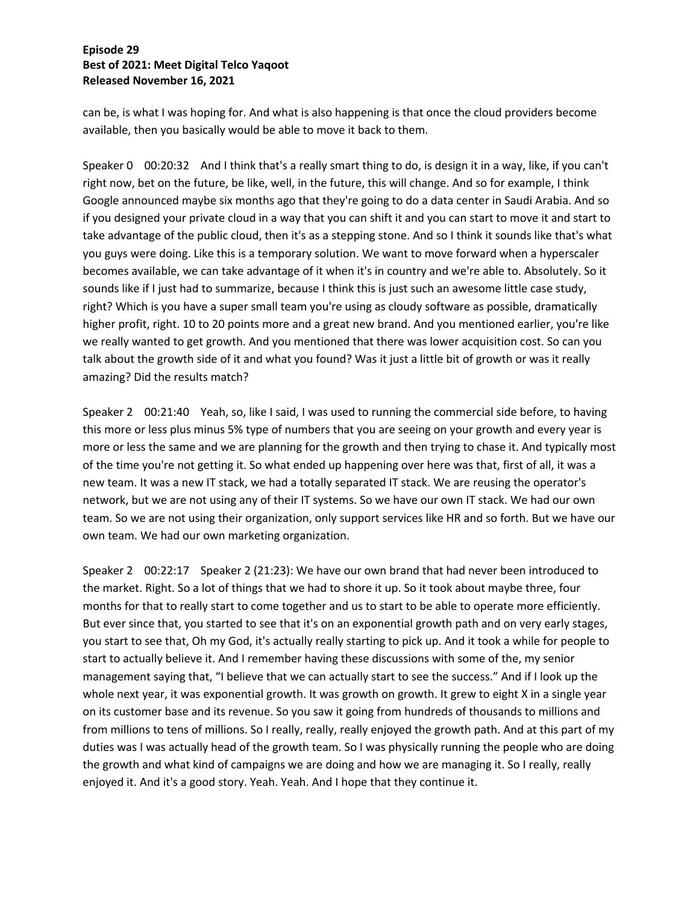can be, is what I was hoping for. And what is also happening is that once the cloud providers become available, then you basically would be able to move it back to them.

Speaker 0 00:20:32 And I think that's a really smart thing to do, is design it in a way, like, if you can't right now, bet on the future, be like, well, in the future, this will change. And so for example, I think Google announced maybe six months ago that they're going to do a data center in Saudi Arabia. And so if you designed your private cloud in a way that you can shift it and you can start to move it and start to take advantage of the public cloud, then it's as a stepping stone. And so I think it sounds like that's what you guys were doing. Like this is a temporary solution. We want to move forward when a hyperscaler becomes available, we can take advantage of it when it's in country and we're able to. Absolutely. So it sounds like if I just had to summarize, because I think this is just such an awesome little case study, right? Which is you have a super small team you're using as cloudy software as possible, dramatically higher profit, right. 10 to 20 points more and a great new brand. And you mentioned earlier, you're like we really wanted to get growth. And you mentioned that there was lower acquisition cost. So can you talk about the growth side of it and what you found? Was it just a little bit of growth or was it really amazing? Did the results match?

Speaker 2 00:21:40 Yeah, so, like I said, I was used to running the commercial side before, to having this more or less plus minus 5% type of numbers that you are seeing on your growth and every year is more or less the same and we are planning for the growth and then trying to chase it. And typically most of the time you're not getting it. So what ended up happening over here was that, first of all, it was a new team. It was a new IT stack, we had a totally separated IT stack. We are reusing the operator's network, but we are not using any of their IT systems. So we have our own IT stack. We had our own team. So we are not using their organization, only support services like HR and so forth. But we have our own team. We had our own marketing organization.

Speaker 2 00:22:17 Speaker 2 (21:23): We have our own brand that had never been introduced to the market. Right. So a lot of things that we had to shore it up. So it took about maybe three, four months for that to really start to come together and us to start to be able to operate more efficiently. But ever since that, you started to see that it's on an exponential growth path and on very early stages, you start to see that, Oh my God, it's actually really starting to pick up. And it took a while for people to start to actually believe it. And I remember having these discussions with some of the, my senior management saying that, "I believe that we can actually start to see the success." And if I look up the whole next year, it was exponential growth. It was growth on growth. It grew to eight X in a single year on its customer base and its revenue. So you saw it going from hundreds of thousands to millions and from millions to tens of millions. So I really, really, really enjoyed the growth path. And at this part of my duties was I was actually head of the growth team. So I was physically running the people who are doing the growth and what kind of campaigns we are doing and how we are managing it. So I really, really enjoyed it. And it's a good story. Yeah. Yeah. And I hope that they continue it.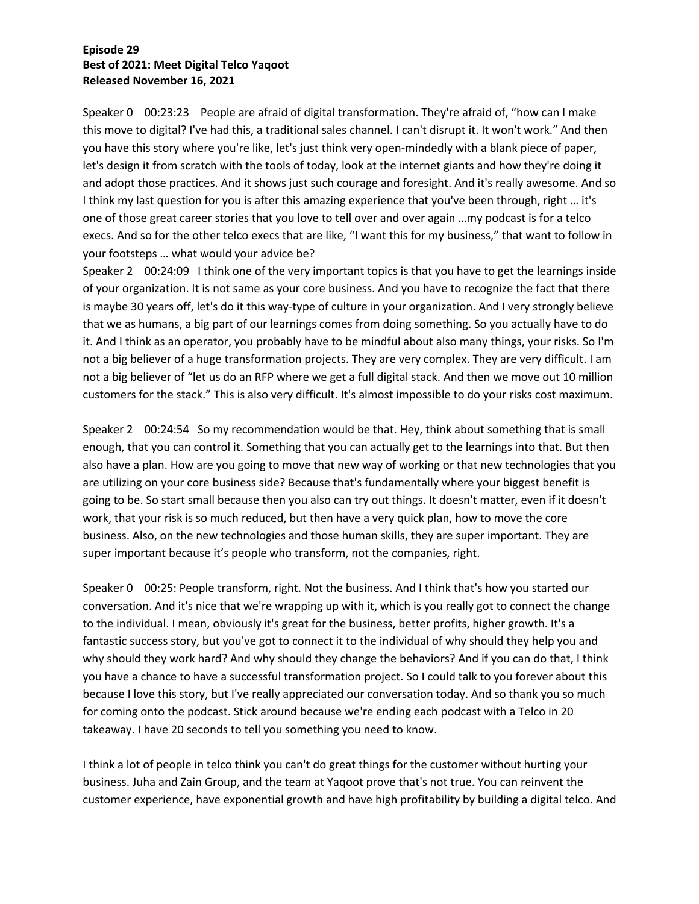Speaker 0 00:23:23 People are afraid of digital transformation. They're afraid of, "how can I make this move to digital? I've had this, a traditional sales channel. I can't disrupt it. It won't work." And then you have this story where you're like, let's just think very open-mindedly with a blank piece of paper, let's design it from scratch with the tools of today, look at the internet giants and how they're doing it and adopt those practices. And it shows just such courage and foresight. And it's really awesome. And so I think my last question for you is after this amazing experience that you've been through, right … it's one of those great career stories that you love to tell over and over again …my podcast is for a telco execs. And so for the other telco execs that are like, "I want this for my business," that want to follow in your footsteps … what would your advice be?

Speaker 2 00:24:09 I think one of the very important topics is that you have to get the learnings inside of your organization. It is not same as your core business. And you have to recognize the fact that there is maybe 30 years off, let's do it this way-type of culture in your organization. And I very strongly believe that we as humans, a big part of our learnings comes from doing something. So you actually have to do it. And I think as an operator, you probably have to be mindful about also many things, your risks. So I'm not a big believer of a huge transformation projects. They are very complex. They are very difficult. I am not a big believer of "let us do an RFP where we get a full digital stack. And then we move out 10 million customers for the stack." This is also very difficult. It's almost impossible to do your risks cost maximum.

Speaker 2 00:24:54 So my recommendation would be that. Hey, think about something that is small enough, that you can control it. Something that you can actually get to the learnings into that. But then also have a plan. How are you going to move that new way of working or that new technologies that you are utilizing on your core business side? Because that's fundamentally where your biggest benefit is going to be. So start small because then you also can try out things. It doesn't matter, even if it doesn't work, that your risk is so much reduced, but then have a very quick plan, how to move the core business. Also, on the new technologies and those human skills, they are super important. They are super important because it's people who transform, not the companies, right.

Speaker 0 00:25: People transform, right. Not the business. And I think that's how you started our conversation. And it's nice that we're wrapping up with it, which is you really got to connect the change to the individual. I mean, obviously it's great for the business, better profits, higher growth. It's a fantastic success story, but you've got to connect it to the individual of why should they help you and why should they work hard? And why should they change the behaviors? And if you can do that, I think you have a chance to have a successful transformation project. So I could talk to you forever about this because I love this story, but I've really appreciated our conversation today. And so thank you so much for coming onto the podcast. Stick around because we're ending each podcast with a Telco in 20 takeaway. I have 20 seconds to tell you something you need to know.

I think a lot of people in telco think you can't do great things for the customer without hurting your business. Juha and Zain Group, and the team at Yaqoot prove that's not true. You can reinvent the customer experience, have exponential growth and have high profitability by building a digital telco. And